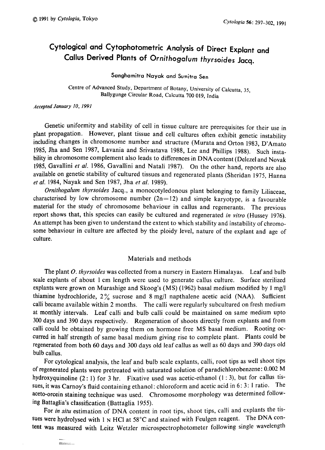# Cytological and Cytophotometric Analysis of Direct Explant and Callus Derived Plants of Ornithogalum thyrsoides Jacq .

Sanghamitra Nayak and Sumitra Sen

Centre of Advanced Study, Department of Botany, University of Calcutta, 35, Ballygunge Circular Road, Calcutta 700 019, India

Accepted January 10, 1991

signature.

Genetic uniformity and stability of cell in tissue culture are prerequisites for their use in plant propagation. However, plant tissue and cell cultures often exhibit genetic instability including changes in chromosome number and structure (Murata and Orton 1983, D'Amato 1985, Jha and Sen 1987, Lavania and Srivastava 1988, Lee and Phillips 1988). Such insta bility in chromosome complement also leads to differences in DNA content (Delezel and Novak 1985, Gavallini et al. 1986, Gavallini and Natali 1987). On the other hand, reports are also available on genetic stability of cultured tissues and regenerated plants (Sheridan 1975, Hanna et al. 1984, Nayak and Sen 1987, Jha et al. 1989).

Ornithogalum thyrsoides Jacq., a monocotyledonous plant belonging to family Liliaceae, characterised by low chromosome number  $(2n=12)$  and simple karyotype, is a favourable material for the study of chromosome behaviour in callus and regenerants. The previous report shows that, this species can easily be cultured and regenerated in vitro (Hussey 1976). An attempt has been given to understand the extent to which stability and instability of chromo some behaviour in culture are affected by the ploidy level, nature of the explant and age of culture.

## Materials and methods

The plant O. thyrsoides was collected from a nursery in Eastern Himalayas. Leaf and bulb scale explants of about 1cm length were used to generate callus culture. Surface sterilized explants were grown on Murashige and Skoog's (MS) (1962) basal medium modified by 1 mg/l thiamine hydrochloride,  $2\%$  sucrose and 8 mg/l napthalene acetic acid (NAA). Sufficient calli became available within 2 months. The calli were regularly subcultured on fresh medium at monthly intervals. Leaf calli and bulb calli could be maintained on same medium upto 300 days and 390 days respectively. Regeneration of shoots directly from explants and from calli could be obtained by growing them on hormone free MS basal medium. Rooting oc curred in half strength of same basal medium giving rise to complete plant. Plants could be regenerated from both 60 days and 300 days old leaf callus as well as 60 days and 390 days old bulb callus.

For cytological analysis, the leaf and bulb scale explants, calli, root tips as well shoot tips of regenerated plants were pretreated with saturated solution of paradichlorobenzene: 0.002M hydroxyquinoline  $(2:1)$  for 3 hr. Fixative used was acetic-ethanol  $(1:3)$ , but for callus ti sues, it was Carnoy's fluid containing ethanol: chloroform and acetic acid in 6:3:1 ratio. The aceto-orcein staining technique was used. Chromosome morphology was determined following Battaglia's classification (Battaglia 1955) .

For in situ estimation of DNA content in root tips, shoot tips, calli and explants the tissues were hydrolysed with 1 N HCl at  $58^{\circ}$ C and stained with Feulgen reagent. The DNA content was measured with Leitz Wetzler microspectrophotometer following single wavelength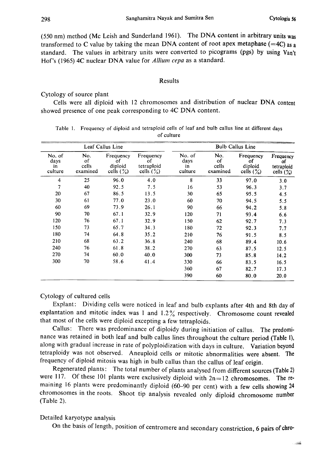(550nm) method (Me Leish and Sunderland 1961). The DNA content in arbitrary units was transformed to C value by taking the mean DNA content of root apex metaphase  $(=4C)$  as a standard. The values in arbitrary units were converted to picograms (pgs) by using Van't Hof's (1965) 4C nuclear DNA value for Allium cepa as a standard.

## Results

## Cytology of source plant

Cells were all diploid with 12 chromosomes and distribution of nuclear DNA content showed presence of one peak corresponding to 4C DNA content.

|                                 |                                | Leaf Callus Line                           |                                               |                                 |                                | <b>Bulb Callus Line</b>                             |                                               |
|---------------------------------|--------------------------------|--------------------------------------------|-----------------------------------------------|---------------------------------|--------------------------------|-----------------------------------------------------|-----------------------------------------------|
| No. of<br>days<br>in<br>culture | No.<br>of<br>cells<br>examined | Frequency<br>οf<br>diploid<br>cells $(\%)$ | Frequency<br>οf<br>tetraploid<br>cells $(\%)$ | No. of<br>days<br>in<br>culture | No.<br>οf<br>cells<br>examined | Frequency<br>οf<br>diploid<br>cells $(\frac{9}{6})$ | Frequency<br>οf<br>tetraploid<br>cells $(\%)$ |
| 4                               | 25                             | 96.0                                       | 4.0                                           | 8                               | 33                             | 97.0                                                | 3.0                                           |
| 7                               | 40                             | 92.5                                       | 7.5                                           | 16                              | 53                             | 96.3                                                | 3.7                                           |
| 20                              | 67                             | 86.5                                       | 13.5                                          | 30                              | 65                             | 95.5                                                | 4.5                                           |
| 30                              | 61                             | 77.0                                       | 23.0                                          | 60                              | 70                             | 94.5                                                | 5.5                                           |
| 60                              | 69                             | 73.9                                       | 26.1                                          | 90                              | 66                             | 94.2                                                | 5.8                                           |
| 90                              | 70                             | 67.1                                       | 32.9                                          | 120                             | 71                             | 93.4                                                | 6.6                                           |
| 120                             | 76                             | 67.1                                       | 32.9                                          | 150                             | 62                             | 92.7                                                | 7.3                                           |
| 150                             | 73                             | 65.7                                       | 34.3                                          | 180                             | 72                             | 92.3                                                | 7.7                                           |
| 180                             | 74                             | 64.8                                       | 35.2                                          | 210                             | 76                             | 91.5                                                | 8.5                                           |
| 210                             | 68                             | 63.2                                       | 36.8                                          | 240                             | 68                             | 89.4                                                | 10.6                                          |
| 240                             | 76                             | 61.8                                       | 38.2                                          | 270                             | 63                             | 87.5                                                | 12.5                                          |
| 270                             | 74                             | 60.0                                       | 40.0                                          | 300                             | 73                             | 85.8                                                | 14.2                                          |
| 300                             | 70                             | 58.6                                       | 41.4                                          | 330                             | 66                             | 83.5                                                | 16.5                                          |
|                                 |                                |                                            |                                               | 360                             | 67                             | 82.7                                                | 17.3                                          |
|                                 |                                |                                            |                                               | 390                             | 60                             | 80.0                                                | 20.0                                          |

| Table 1. Frequency of diploid and tetraploid cells of leaf and bulb callus line at different days |  |  |            |  |  |  |  |  |
|---------------------------------------------------------------------------------------------------|--|--|------------|--|--|--|--|--|
|                                                                                                   |  |  | of culture |  |  |  |  |  |

# Cytology of cultured cells

Explant: Dividing cells were noticed in leaf and bulb explants after 4th and 8th day of explantation and mitotic index was 1 and 1.2% respectively. Chromosome count revealed that most of the cells were diploid excepting a few tetraploids .

Callus: There was predominance of diploidy during initiation of callus . The predomi nance was retained in both leaf and bulb callus lines throughout the culture period (Table 1), along with gradual increase in rate of polyploidization with days in culture. Variation beyond tetraploidy was not observed. Aneuploid cells or mitotic abnormalities were absent. The frequency of diploid mitosis was high in bulb callus than the callus of leaf origin.

Regenerated plants: The total number of plants analysed from different sources (Table 2) were 117. Of these 101 plants were exclusively diploid with  $2n=12$  chromosomes. The remaining 16 plants were predominantly diploid (60-90 per cent) with a few cells showing 24 chromosomes in the roots. Shoot tip analysis revealed only diploid chromosome number (Table 2).

## Detailed karyotype analysis

On the basis of length, position of centromere and secondary constriction, 6 pairs of chro-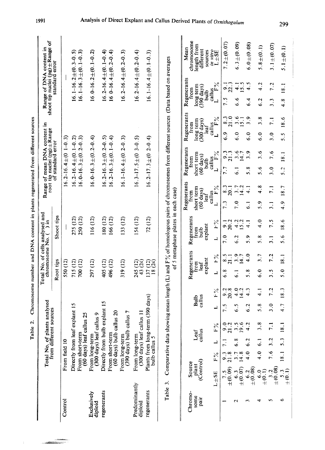| ĺ<br>i<br>!              |
|--------------------------|
| ֘֒                       |
|                          |
|                          |
| $\overline{\phantom{a}}$ |
|                          |
| i                        |

|                          |                              |                   | نہ.<br>Table                                           |               |                         |                     | Total No. of cells analysed and |                                        |                  |                                                                  | Chromosome number and DNA content in plants regenerated from different sources |                                                        |                                                                                                                                      |                                                           |
|--------------------------|------------------------------|-------------------|--------------------------------------------------------|---------------|-------------------------|---------------------|---------------------------------|----------------------------------------|------------------|------------------------------------------------------------------|--------------------------------------------------------------------------------|--------------------------------------------------------|--------------------------------------------------------------------------------------------------------------------------------------|-----------------------------------------------------------|
|                          |                              |                   | Total No. of plants analysed<br>from different sources |               |                         |                     | chromosome No. (                |                                        |                  |                                                                  | Range of mean DNA content in<br>root tip nuclei (pg) ±Range                    |                                                        | shoot tip nuclei (pg) ±Range of<br>Range of DNA content in                                                                           |                                                           |
|                          |                              |                   |                                                        |               |                         | Root tips           |                                 |                                        | Shoot tips       |                                                                  | of standard error                                                              |                                                        | standard error                                                                                                                       |                                                           |
| Control                  |                              | From field 10     |                                                        |               |                         | 550 (12)            |                                 |                                        |                  |                                                                  | $16.2 - 16.4 \pm (0.1 - 0.3)$                                                  |                                                        |                                                                                                                                      |                                                           |
|                          |                              |                   | Directly from leaf explant 15                          |               |                         | 715 (12)            |                                 |                                        | 275 (12)         |                                                                  | $16.2 - 16.4 \pm (0.1 - 0.2)$                                                  |                                                        |                                                                                                                                      | $16.1 - 16.2 \pm (0.3 - 0.5)$                             |
|                          |                              | From short-term   | $(60 \text{ days})$ leaf c                             | allus 25      |                         | 700 (12)            |                                 |                                        | 250 (12)         |                                                                  | $16.0 - 16.3 \pm (0.2 - 0.3)$                                                  |                                                        |                                                                                                                                      | $16.1 - 16.3 \pm (0.1 - 0.3)$                             |
| Exclusively<br>diploid   |                              | From long-term    | (300 days) leaf                                        | callus 9      |                         | 297 (12)            |                                 |                                        | 116 (12)         |                                                                  | $16.0 - 16.3 \pm (0.2 - 0.4)$                                                  |                                                        |                                                                                                                                      | $16.0 - 16.2 \pm (0.1 - 0.2)$                             |
| regenerants              |                              |                   | Directly from bul                                      | b explant 15  |                         | 405 (12)            |                                 |                                        | 180 (12)         |                                                                  | $16.2 - 16.3 \pm (0.2 - 0.5)$                                                  |                                                        |                                                                                                                                      | $16.2 - 16.4 \pm (0.1 - 0.4)$                             |
|                          |                              | From short-term   | (60 days) bulb callus 20                               |               |                         | 496 (12)            |                                 |                                        | 166 (12)         |                                                                  | $16.2 - 16.3 \pm (0.1 - 0.4)$                                                  |                                                        |                                                                                                                                      | $160-16.4 \pm (0.2-0.4)$                                  |
|                          |                              |                   | From long-term<br>(390 days) bulb                      | callus 7      |                         | 319 (12)            |                                 |                                        | 133 (12)         |                                                                  | $16.1 - 16.4 \pm (0.2 - 0.3)$                                                  |                                                        |                                                                                                                                      | $16.2 - 16.4 \pm (0.2 - 0.3)$                             |
| Predominantly<br>diploid |                              | From long-term    | (300 days) leaf                                        | callus 11     |                         | 245 (12)<br>43 (24) |                                 |                                        | 154 (12)         |                                                                  | $16.3 - 17.5 \pm (0.3 - 0.5)$                                                  |                                                        |                                                                                                                                      | $16.2 - 16.4 \pm (0.2 - 0.4)$                             |
| regenerants              |                              | bulb callus 5     | Plants from long-term (390 days)                       |               |                         | 137 (12)<br>18 (24) |                                 |                                        | 72 (12)          |                                                                  | $16.2 - 17.3 \pm (0.2 - 0.4)$                                                  |                                                        |                                                                                                                                      | $16.1 - 16.4 \pm (0.1 - 0.3)$                             |
| Table 3.                 |                              |                   |                                                        |               |                         |                     |                                 |                                        |                  | of 5 metaphase plates in each case)                              |                                                                                |                                                        | Comparative data showing mean length (L) and $F\%$ of homologous pairs of chromosomes from different sources (Data based on averages |                                                           |
| Chromo-<br>some<br>pair  | (Control)<br>Source<br>plant |                   | callus<br>Leaf                                         |               | callus<br>Bulb          | from<br>leaf        | Regenerants<br>explant          | Regenerants<br>explant<br>from<br>dlud |                  | Regenerants<br>short term<br>$(60 \text{ days})$<br>from<br>leaf | Regenerants<br>short term<br>$(60 \text{ days})$<br>trom<br>bulb               | Regenerants<br>long term<br>(300 days)<br>trom<br>leaf | Regenerants<br>long term<br>$(390 \text{ days})$<br>Irom<br>dlud                                                                     | chromosome<br>length from<br>Mean<br>different<br>sources |
|                          | $\tt L4SE$                   | Ρ%                | $F^{\circ}_{0}$                                        | ᆜ             | $F_o$                   | ب                   | $\frac{5}{6}$                   | ᆜ                                      | $\frac{5}{6}$    | callus<br>$L$ $F\%$                                              | callus<br>L<br>$F\%$                                                           | callus<br>$\Gamma$ $F\%$                               | callus $F\%$                                                                                                                         | in vitro<br>$\tt L + SE$                                  |
|                          | $2.5$<br>$\pm (0.09)$        | $\frac{3}{21}$ .8 | 9.2<br>$\mathbb{Z}$                                    |               | າ<br>ລິຊີ<br>ລິ         | ⊛.<br>စ             | $\frac{5}{8}$                   | 7.0                                    | $\frac{1}{20.2}$ | $\frac{8.3}{20.1}$<br>7.3                                        | $\frac{9.3}{21.3}$<br>7.7                                                      | $\frac{3}{21}$ อ<br>$\frac{6}{6}$                      | $\frac{1}{2}$<br>7.5                                                                                                                 | $7.2 \pm (0.07)$                                          |
| N                        | $\pm (0.07)$<br>$\ddot{6}$ . | $3.7$<br>14.8     | $3.56$<br>$4.2$<br>$\frac{8}{6}$                       | 6.S           | $\frac{1}{4}$ .<br>14.2 | $\overline{5}$      | 3.7                             | 6.2                                    | $\frac{1}{4}$ .2 | $3.7$<br>14.2<br>7.0                                             | 3.6<br>14.7<br>こ                                                               | $\frac{3}{5}$<br>$\overline{15}$<br>$\ddot{6}$ .0      | $\frac{1}{5}$ .5<br>ه.<br>ف                                                                                                          | $6.3 \pm (0.09)$                                          |
| m                        | $\pm (0.08)$<br>6.2          | 4.0               |                                                        | 6.2           | 4.3                     | 5.8                 | 4.0                             | 5.9                                    | $\frac{1}{4}$    | ್ತ                                                               | 3.9<br>$\frac{8}{2}$                                                           | $\sigma$<br>$\mathbf{\tilde{5}}$<br>$\frac{6}{3}$      | 4.5<br>$\frac{4}{3}$                                                                                                                 | $6.0 + (0.08)$                                            |
| d                        | $^{+0.0}_{+0.1}$             | $\ddot{4}$ .0     | $\frac{8}{3}$<br>್ಧ                                    | 5.8           | $\frac{1}{4}$           | $\ddot{6}$ .0       | 3.7                             | $\frac{8}{2}$                          | 4.0              | 4.8<br>5.9                                                       | 3.6<br>$\overline{\phantom{0}}$                                                | 3.8<br>$\ddot{6}$ .0                                   | 4.2<br>6.2                                                                                                                           | $5.8 \pm (0.1)$                                           |
| 5                        | $_{\pm(0.08)}$               | 7.6               | 7.1<br>3.2                                             | $\ddot{3}$ .0 | 7.2                     | ن<br>د              | 7.2                             | $\frac{1}{3}$                          | 7.5              | $\overline{7.1}$<br>$\overline{3}$ .                             | 7.6<br>$\ddot{3}$ .                                                            | $\overline{7}$ .<br>$\frac{0}{3}$                      | 7.2<br>3.3                                                                                                                           | $3.1 \pm (0.07)$                                          |
| م                        | $^{5.3}_{\pm (0.1)}$         | 18.1              | $\overline{\phantom{0}}$<br>5.3                        | 4.7           | 18.3                    | $\ddot{5}$ . 0      | 18.1                            | 5.6                                    | 18.6             | 18.7<br>4.9                                                      | 18.1<br>5.2                                                                    | 18.6<br>5.5                                            | 18.1<br>4.8                                                                                                                          | $5.1 \pm (0.1)$                                           |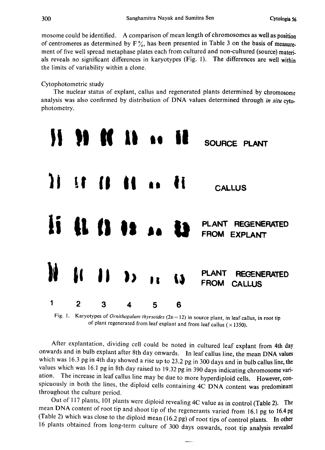mosome could be identified. A comparison of mean length of chromosomes as well as position of centromeres as determined by  $F\%$ , has been presented in Table 3 on the basis of measurement of five well spread metaphase plates each from cultured and non-cultured (source) materi als reveals no significant differences in karyotypes (Fig. 1). The differences are well within the limits of variability within a clone.

# Cytophotometric study

The nuclear status of explant, callus and regenerated plants determined by chromosome analysis was also confirmed by distribution of DNA values determined through in situ cytophotometry.



Fig. 1. Karyotypes of *Ornithogalum thyrsoides* ( $2n=12$ ) in source plant, in leaf callus, in root tip of plant regenerated from leaf explant and from leaf callus ( $\times$ 1350).

After explantation, dividing cell could be noted in cultured leaf explant from 4th day onwards and in bulb explant after 8th day onwards . In leaf callus line, the mean DNA values which was 16.3 pg in 4th day showed a rise up to 23.2 pg in 300 days and in bulb callus line, the values which was 16.1 pg in 8th day raised to 19.32 pg in 390 days indicating chromosome variation. The increase in leaf callus line may be due to more hyperdiploid cells . However, con spicuously in both the lines, the diploid cells containing 4C DNA content was predominant throughout the culture period.

Out of 117 plants, 101 plants were diploid revealing 4C value as in control (Table 2) . The mean DNA content of root tip and shoot tip of the regenerants varied from 16.1 pg to 16.4 pg (Table 2) which was close to the diploid mean (16.2 pg) of root tips of control plants. In other plants obtained from long-term culture of 300 days onwards , root tip analysis revealed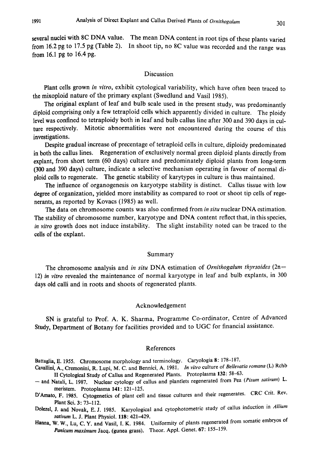several nuclei with 8C DNA value. The mean DNA content in root tips of these plants varied from 16.2 pg to 17.5 pg (Table 2). In shoot tip, no 8C value was recorded and the range was from 16.1 pg to  $16.4$  pg.

# Discussion

Plant cells grown in vitro, exhibit cytological variability, which have often been traced to the mixoploid nature of the primary explant (Swedlund and Vasil 1985).

The original explant of leaf and bulb scale used in the present study, was predominantly diploid comprising only a few tetraploid cells which apparently divided in culture. The ploidy level was confined to tetraploidy both in leaf and bulb callus line after 300 and 390 days in cul ture respectively. Mitotic abnormalities were not encountered during the course of this investigations.

Despite gradual increase of precentage of tetraploid cells in culture, diploidy predominated in both the callus lines. Regeneration of exclusively normal green diploid plants directly from explant, from short term (60 days) culture and predominately diploid plants from long-term (300 and 390 days) culture, indicate a selective mechanism operating in favour of normal di ploid cells to regenerate. The genetic stability of karytypes in culture is thus maintained.

The influence of organogenesis on karyotype stability is distinct. Callus tissue with low degree of organization, yielded more instability as compared to root or shoot tip cells of rege nerants, as reported by Kovacs (1985) as well.

The data on chromosome counts was also confirmed from in situ nuclear DNA estimation. The stability of chromosome number, karyotype and DNA content reflect that, in this species, in vitro growth does not induce instability. The slight instability noted can be traced to the cells of the explant.

## Summary

The chromosome analysis and in situ DNA estimation of *Ornithogalum thyrsoides* ( $2n=$ 12) in vitro revealed the maintenance of normal karyotype in leaf and bulb explants, in 300 days old calli and in roots and shoots of regenerated plants.

## Acknowledgement

SN is grateful to Prof. A. K. Sharma, Programme Co-ordinator, Centre of Advanced Study, Department of Botany for facilities provided and to UGC for financial assistance.

## References

- Battaglia, E. 1955. Chromosome morphology and terminology. Caryologia 8: 178-187.
- Cavallini, A., Cremonini, R. Lupi, M. C. and Bennici, A. 1981. In vitro culture of Bellevatia romana (L) Rchb II Cytological Study of Callus and Regenerated Plants. Protoplasma 132: 58-63.
- and Natali, L. 1987. Nuclear cytology of callus and plantlets regenerated from Pea (Pisum sativum) L. meristem. Protoplasma 141: 121-125.
- D'Amato, F. 1985. Cytogenetics of plant cell and tissue cultures and their regenerates. CRC Crit. Rev. Plant Sci. 3: 73-112.
- Dolezel, J. and Novak, E. J. 1985. Karyological and cytophotometric study of callus induction in Allium sativum L. J. Plant Physiol. 118: 421-429.
- Hanna, W. W., Lu, C. Y. and Vasil, I. K. 1984. Uniformity of plants regenerated from somatic embryos of Panicum maximum Jacq. (gunea grass). Theor. Appl. Genet. 67: 155-159.